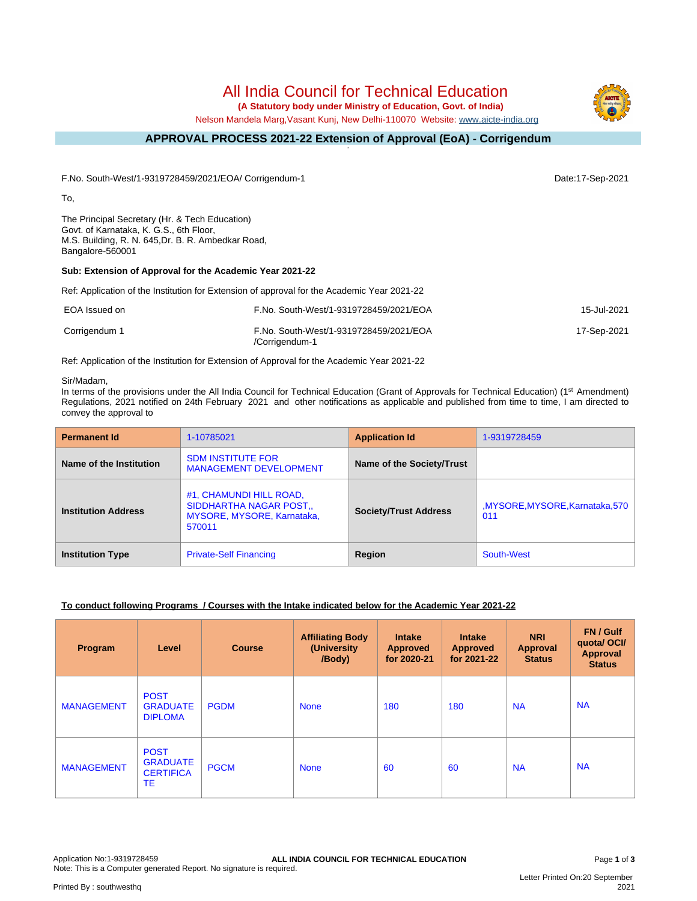# All India Council for Technical Education

 **(A Statutory body under Ministry of Education, Govt. of India)**

Nelson Mandela Marg,Vasant Kunj, New Delhi-110070 Website: [www.aicte-india.org](http://www.aicte-india.org)

#### **APPROVAL PROCESS 2021-22 Extension of Approval (EoA) - Corrigendum -**

F.No. South-West/1-9319728459/2021/EOA/ Corrigendum-1 Date:17-Sep-2021

To,

The Principal Secretary (Hr. & Tech Education) Govt. of Karnataka, K. G.S., 6th Floor, M.S. Building, R. N. 645,Dr. B. R. Ambedkar Road, Bangalore-560001

# **Sub: Extension of Approval for the Academic Year 2021-22**

Ref: Application of the Institution for Extension of approval for the Academic Year 2021-22

| EOA Issued on | F.No. South-West/1-9319728459/2021/EOA                   | 15-Jul-2021 |
|---------------|----------------------------------------------------------|-------------|
| Corrigendum 1 | F.No. South-West/1-9319728459/2021/EOA<br>/Corrigendum-1 | 17-Sep-2021 |

Ref: Application of the Institution for Extension of Approval for the Academic Year 2021-22

### Sir/Madam,

In terms of the provisions under the All India Council for Technical Education (Grant of Approvals for Technical Education) (1<sup>st</sup> Amendment) Regulations, 2021 notified on 24th February 2021 and other notifications as applicable and published from time to time, I am directed to convey the approval to

| <b>Permanent Id</b>        | 1-10785021                                                                                        | <b>Application Id</b>        | 1-9319728459                           |
|----------------------------|---------------------------------------------------------------------------------------------------|------------------------------|----------------------------------------|
| Name of the Institution    | <b>SDM INSTITUTE FOR</b><br><b>MANAGEMENT DEVELOPMENT</b>                                         | Name of the Society/Trust    |                                        |
| <b>Institution Address</b> | #1, CHAMUNDI HILL ROAD,<br>SIDDHARTHA NAGAR POST.,<br><b>MYSORE, MYSORE, Karnataka,</b><br>570011 | <b>Society/Trust Address</b> | MYSORE, MYSORE, Karnataka, 570,<br>011 |
| <b>Institution Type</b>    | <b>Private-Self Financing</b>                                                                     | Region                       | South-West                             |

# **To conduct following Programs / Courses with the Intake indicated below for the Academic Year 2021-22**

| Program           | Level                                                    | <b>Course</b> | <b>Affiliating Body</b><br>(University<br>/Body) | <b>Intake</b><br><b>Approved</b><br>for 2020-21 | <b>Intake</b><br><b>Approved</b><br>for 2021-22 | <b>NRI</b><br>Approval<br><b>Status</b> | FN / Gulf<br>quotal OCI/<br>Approval<br><b>Status</b> |
|-------------------|----------------------------------------------------------|---------------|--------------------------------------------------|-------------------------------------------------|-------------------------------------------------|-----------------------------------------|-------------------------------------------------------|
| <b>MANAGEMENT</b> | <b>POST</b><br><b>GRADUATE</b><br><b>DIPLOMA</b>         | <b>PGDM</b>   | <b>None</b>                                      | 180                                             | 180                                             | <b>NA</b>                               | <b>NA</b>                                             |
| <b>MANAGEMENT</b> | <b>POST</b><br><b>GRADUATE</b><br><b>CERTIFICA</b><br>TE | <b>PGCM</b>   | <b>None</b>                                      | 60                                              | 60                                              | <b>NA</b>                               | <b>NA</b>                                             |

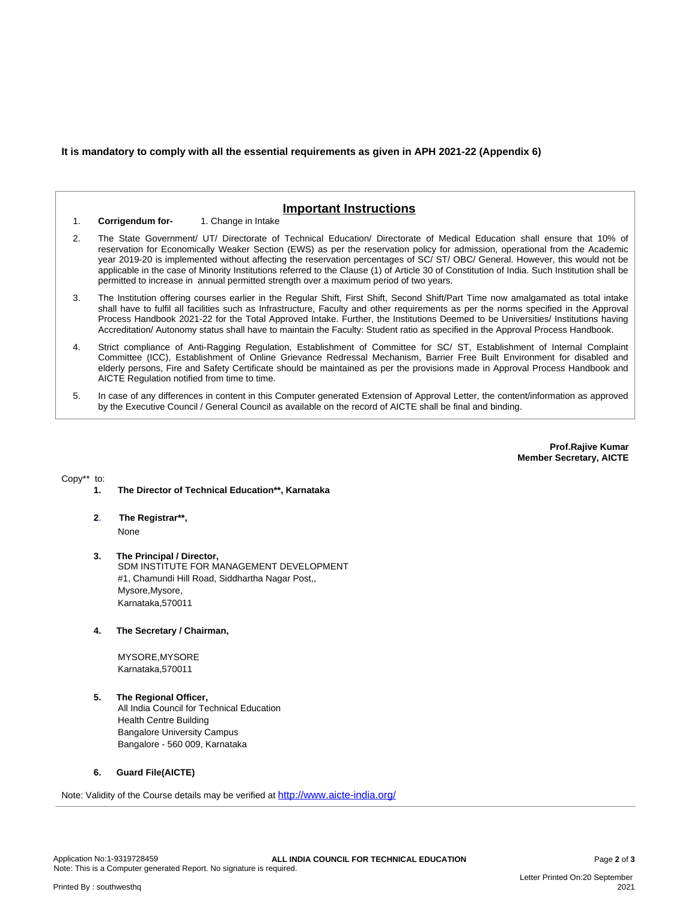**It is mandatory to comply with all the essential requirements as given in APH 2021-22 (Appendix 6)**

# **Important Instructions**

1. **Corrigendum for-** 1. Change in Intake

- 2. The State Government/ UT/ Directorate of Technical Education/ Directorate of Medical Education shall ensure that 10% of reservation for Economically Weaker Section (EWS) as per the reservation policy for admission, operational from the Academic year 2019-20 is implemented without affecting the reservation percentages of SC/ ST/ OBC/ General. However, this would not be applicable in the case of Minority Institutions referred to the Clause (1) of Article 30 of Constitution of India. Such Institution shall be permitted to increase in annual permitted strength over a maximum period of two years.
- 3. The Institution offering courses earlier in the Regular Shift, First Shift, Second Shift/Part Time now amalgamated as total intake shall have to fulfil all facilities such as Infrastructure, Faculty and other requirements as per the norms specified in the Approval Process Handbook 2021-22 for the Total Approved Intake. Further, the Institutions Deemed to be Universities/ Institutions having Accreditation/ Autonomy status shall have to maintain the Faculty: Student ratio as specified in the Approval Process Handbook.
- 4. Strict compliance of Anti-Ragging Regulation, Establishment of Committee for SC/ ST, Establishment of Internal Complaint Committee (ICC), Establishment of Online Grievance Redressal Mechanism, Barrier Free Built Environment for disabled and elderly persons, Fire and Safety Certificate should be maintained as per the provisions made in Approval Process Handbook and AICTE Regulation notified from time to time.
- 5. In case of any differences in content in this Computer generated Extension of Approval Letter, the content/information as approved by the Executive Council / General Council as available on the record of AICTE shall be final and binding.

**Prof.Rajive Kumar Member Secretary, AICTE**

Copy\*\* to:

- **1. The Director of Technical Education\*\*, Karnataka**
- **2**. **The Registrar\*\*,** None
- **3. The Principal / Director,** SDM INSTITUTE FOR MANAGEMENT DEVELOPMENT #1, Chamundi Hill Road, Siddhartha Nagar Post,, Mysore,Mysore, Karnataka,570011
- **4. The Secretary / Chairman,**

MYSORE,MYSORE Karnataka,570011

**5. The Regional Officer,**

All India Council for Technical Education Health Centre Building Bangalore University Campus Bangalore - 560 009, Karnataka

#### **6. Guard File(AICTE)**

Note: Validity of the Course details may be verified at <http://www.aicte-india.org/>